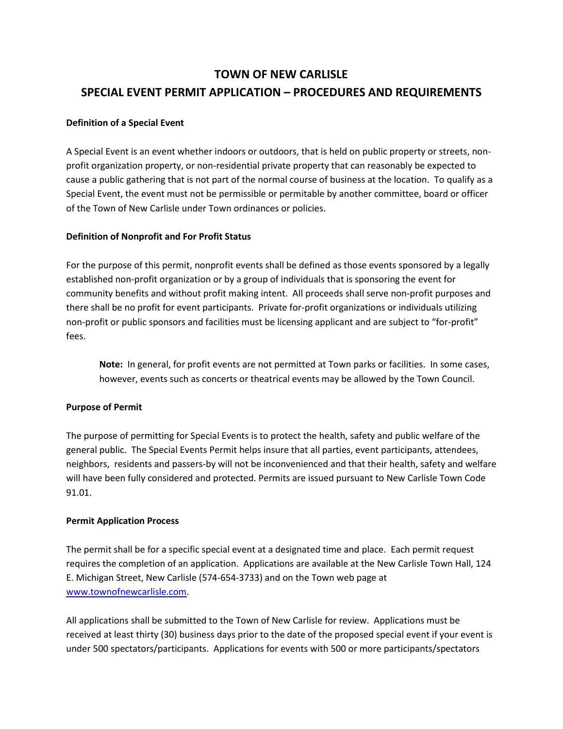# **TOWN OF NEW CARLISLE SPECIAL EVENT PERMIT APPLICATION – PROCEDURES AND REQUIREMENTS**

# **Definition of a Special Event**

A Special Event is an event whether indoors or outdoors, that is held on public property or streets, nonprofit organization property, or non-residential private property that can reasonably be expected to cause a public gathering that is not part of the normal course of business at the location. To qualify as a Special Event, the event must not be permissible or permitable by another committee, board or officer of the Town of New Carlisle under Town ordinances or policies.

## **Definition of Nonprofit and For Profit Status**

For the purpose of this permit, nonprofit events shall be defined as those events sponsored by a legally established non-profit organization or by a group of individuals that is sponsoring the event for community benefits and without profit making intent. All proceeds shall serve non-profit purposes and there shall be no profit for event participants. Private for-profit organizations or individuals utilizing non-profit or public sponsors and facilities must be licensing applicant and are subject to "for-profit" fees.

**Note:** In general, for profit events are not permitted at Town parks or facilities. In some cases, however, events such as concerts or theatrical events may be allowed by the Town Council.

# **Purpose of Permit**

The purpose of permitting for Special Events is to protect the health, safety and public welfare of the general public. The Special Events Permit helps insure that all parties, event participants, attendees, neighbors, residents and passers-by will not be inconvenienced and that their health, safety and welfare will have been fully considered and protected. Permits are issued pursuant to New Carlisle Town Code 91.01.

## **Permit Application Process**

The permit shall be for a specific special event at a designated time and place. Each permit request requires the completion of an application. Applications are available at the New Carlisle Town Hall, 124 E. Michigan Street, New Carlisle (574-654-3733) and on the Town web page at [www.townofnewcarlisle.com.](http://www.townofnewcarlisle.com/)

All applications shall be submitted to the Town of New Carlisle for review. Applications must be received at least thirty (30) business days prior to the date of the proposed special event if your event is under 500 spectators/participants. Applications for events with 500 or more participants/spectators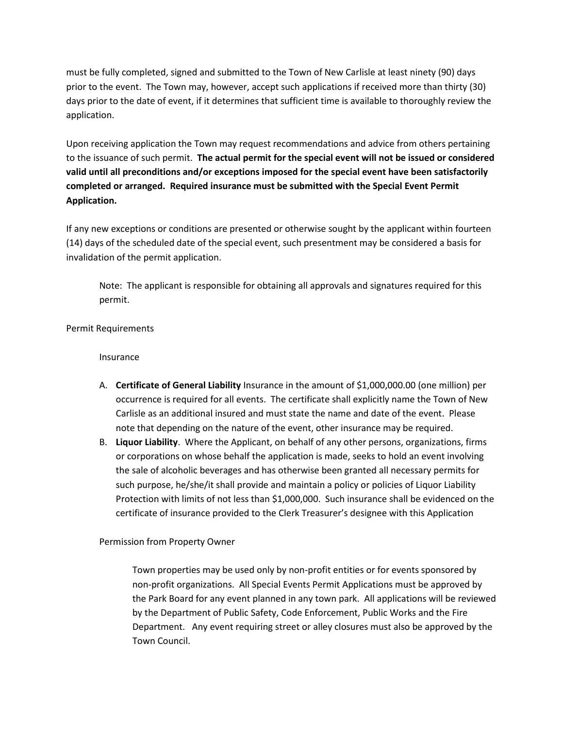must be fully completed, signed and submitted to the Town of New Carlisle at least ninety (90) days prior to the event. The Town may, however, accept such applications if received more than thirty (30) days prior to the date of event, if it determines that sufficient time is available to thoroughly review the application.

Upon receiving application the Town may request recommendations and advice from others pertaining to the issuance of such permit. **The actual permit for the special event will not be issued or considered valid until all preconditions and/or exceptions imposed for the special event have been satisfactorily completed or arranged. Required insurance must be submitted with the Special Event Permit Application.**

If any new exceptions or conditions are presented or otherwise sought by the applicant within fourteen (14) days of the scheduled date of the special event, such presentment may be considered a basis for invalidation of the permit application.

Note: The applicant is responsible for obtaining all approvals and signatures required for this permit.

Permit Requirements

Insurance

- A. **Certificate of General Liability** Insurance in the amount of \$1,000,000.00 (one million) per occurrence is required for all events. The certificate shall explicitly name the Town of New Carlisle as an additional insured and must state the name and date of the event. Please note that depending on the nature of the event, other insurance may be required.
- B. **Liquor Liability**. Where the Applicant, on behalf of any other persons, organizations, firms or corporations on whose behalf the application is made, seeks to hold an event involving the sale of alcoholic beverages and has otherwise been granted all necessary permits for such purpose, he/she/it shall provide and maintain a policy or policies of Liquor Liability Protection with limits of not less than \$1,000,000. Such insurance shall be evidenced on the certificate of insurance provided to the Clerk Treasurer's designee with this Application

Permission from Property Owner

Town properties may be used only by non-profit entities or for events sponsored by non-profit organizations. All Special Events Permit Applications must be approved by the Park Board for any event planned in any town park. All applications will be reviewed by the Department of Public Safety, Code Enforcement, Public Works and the Fire Department. Any event requiring street or alley closures must also be approved by the Town Council.